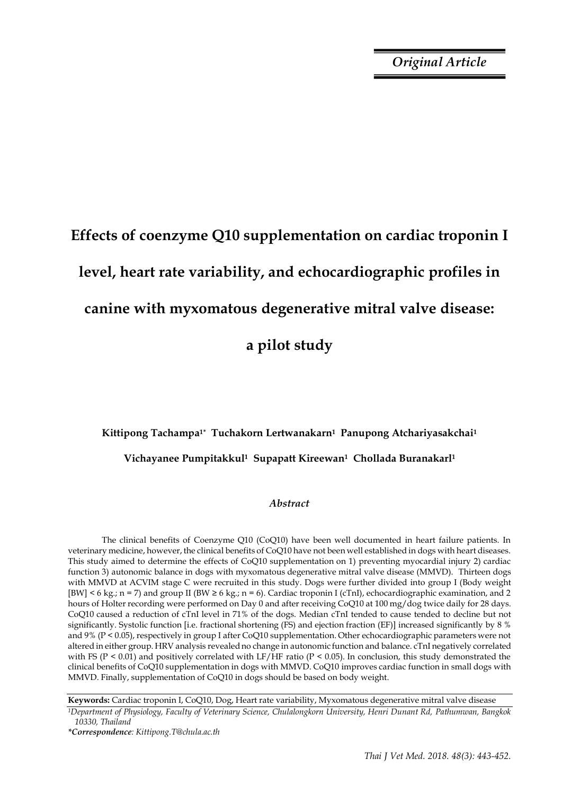*Original Article*

# **Effects of coenzyme Q10 supplementation on cardiac troponin I level, heart rate variability, and echocardiographic profiles in canine with myxomatous degenerative mitral valve disease: a pilot study**

## **Kittipong Tachampa1\* Tuchakorn Lertwanakarn1 Panupong Atchariyasakchai<sup>1</sup> Vichayanee Pumpitakkul1 Supapatt Kireewan1 Chollada Buranakarl<sup>1</sup>**

#### *Abstract*

The clinical benefits of Coenzyme Q10 (CoQ10) have been well documented in heart failure patients. In veterinary medicine, however, the clinical benefits of CoQ10 have not been well established in dogs with heart diseases. This study aimed to determine the effects of CoQ10 supplementation on 1) preventing myocardial injury 2) cardiac function 3) autonomic balance in dogs with myxomatous degenerative mitral valve disease (MMVD). Thirteen dogs with MMVD at ACVIM stage C were recruited in this study. Dogs were further divided into group I (Body weight [BW] < 6 kg.; n = 7) and group II (BW  $\geq 6$  kg.; n = 6). Cardiac troponin I (cTnI), echocardiographic examination, and 2 hours of Holter recording were performed on Day 0 and after receiving CoQ10 at 100 mg/dog twice daily for 28 days. CoQ10 caused a reduction of cTnI level in 71% of the dogs. Median cTnI tended to cause tended to decline but not significantly. Systolic function [i.e. fractional shortening (FS) and ejection fraction (EF)] increased significantly by 8 % and 9% (P < 0.05), respectively in group I after CoQ10 supplementation. Other echocardiographic parameters were not altered in either group. HRV analysis revealed no change in autonomic function and balance. cTnI negatively correlated with FS (P < 0.01) and positively correlated with LF/HF ratio (P < 0.05). In conclusion, this study demonstrated the clinical benefits of CoQ10 supplementation in dogs with MMVD. CoQ10 improves cardiac function in small dogs with MMVD. Finally, supplementation of CoQ10 in dogs should be based on body weight.

**Keywords:** Cardiac troponin I, CoQ10, Dog, Heart rate variability, Myxomatous degenerative mitral valve disease

*<sup>1</sup>Department of Physiology, Faculty of Veterinary Science, Chulalongkorn University, Henri Dunant Rd, Pathumwan, Bangkok 10330, Thailand*

*<sup>\*</sup>Correspondence: Kittipong.T@chula.ac.th*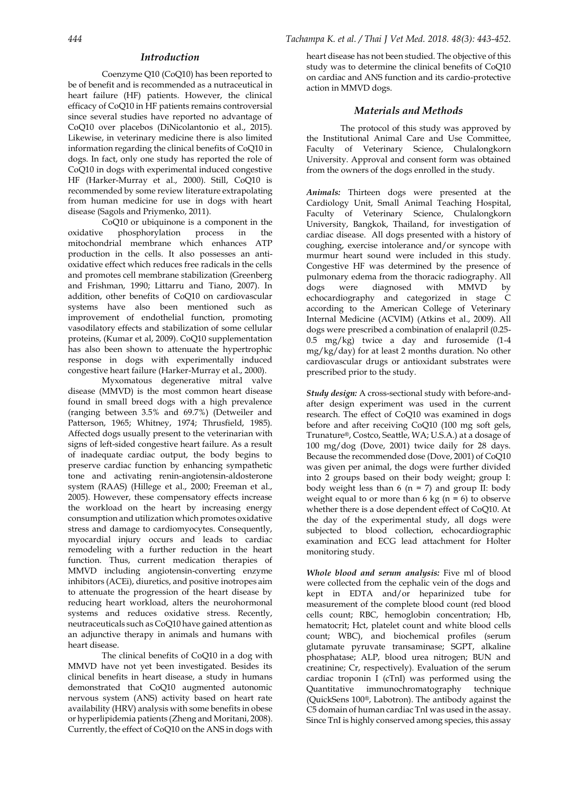#### *Introduction*

Coenzyme Q10 (CoQ10) has been reported to be of benefit and is recommended as a nutraceutical in heart failure (HF) patients. However, the clinical efficacy of CoQ10 in HF patients remains controversial since several studies have reported no advantage of CoQ10 over placebos (DiNicolantonio et al., 2015). Likewise, in veterinary medicine there is also limited information regarding the clinical benefits of CoQ10 in dogs. In fact, only one study has reported the role of CoQ10 in dogs with experimental induced congestive HF (Harker-Murray et al., 2000). Still, CoQ10 is recommended by some review literature extrapolating from human medicine for use in dogs with heart disease (Sagols and Priymenko, 2011).

CoQ10 or ubiquinone is a component in the oxidative phosphorylation process in the mitochondrial membrane which enhances ATP production in the cells. It also possesses an antioxidative effect which reduces free radicals in the cells and promotes cell membrane stabilization (Greenberg and Frishman, 1990; Littarru and Tiano, 2007). In addition, other benefits of CoQ10 on cardiovascular systems have also been mentioned such as improvement of endothelial function, promoting vasodilatory effects and stabilization of some cellular proteins, (Kumar et al, 2009). CoQ10 supplementation has also been shown to attenuate the hypertrophic response in dogs with experimentally induced congestive heart failure (Harker-Murray et al., 2000).

Myxomatous degenerative mitral valve disease (MMVD) is the most common heart disease found in small breed dogs with a high prevalence (ranging between 3.5% and 69.7%) (Detweiler and Patterson, 1965; Whitney, 1974; Thrusfield, 1985). Affected dogs usually present to the veterinarian with signs of left-sided congestive heart failure. As a result of inadequate cardiac output, the body begins to preserve cardiac function by enhancing sympathetic tone and activating renin-angiotensin-aldosterone system (RAAS) (Hillege et al., 2000; Freeman et al., 2005). However, these compensatory effects increase the workload on the heart by increasing energy consumption and utilization which promotes oxidative stress and damage to cardiomyocytes. Consequently, myocardial injury occurs and leads to cardiac remodeling with a further reduction in the heart function. Thus, current medication therapies of MMVD including angiotensin-converting enzyme inhibitors (ACEi), diuretics, and positive inotropes aim to attenuate the progression of the heart disease by reducing heart workload, alters the neurohormonal systems and reduces oxidative stress. Recently, neutraceuticals such as CoQ10 have gained attention as an adjunctive therapy in animals and humans with heart disease.

The clinical benefits of CoQ10 in a dog with MMVD have not yet been investigated. Besides its clinical benefits in heart disease, a study in humans demonstrated that CoQ10 augmented autonomic nervous system (ANS) activity based on heart rate availability (HRV) analysis with some benefits in obese or hyperlipidemia patients (Zheng and Moritani, 2008). Currently, the effect of CoQ10 on the ANS in dogs with heart disease has not been studied. The objective of this study was to determine the clinical benefits of CoQ10 on cardiac and ANS function and its cardio-protective action in MMVD dogs.

#### *Materials and Methods*

The protocol of this study was approved by the Institutional Animal Care and Use Committee, Faculty of Veterinary Science, Chulalongkorn University. Approval and consent form was obtained from the owners of the dogs enrolled in the study.

*Animals:* Thirteen dogs were presented at the Cardiology Unit, Small Animal Teaching Hospital, Faculty of Veterinary Science, Chulalongkorn University, Bangkok, Thailand, for investigation of cardiac disease. All dogs presented with a history of coughing, exercise intolerance and/or syncope with murmur heart sound were included in this study. Congestive HF was determined by the presence of pulmonary edema from the thoracic radiography. All<br>dogs were diagnosed with MMVD by dogs were diagnosed with MMVD by echocardiography and categorized in stage C according to the American College of Veterinary Internal Medicine (ACVIM) (Atkins et al., 2009). All dogs were prescribed a combination of enalapril (0.25- 0.5 mg/kg) twice a day and furosemide (1-4 mg/kg/day) for at least 2 months duration. No other cardiovascular drugs or antioxidant substrates were prescribed prior to the study.

*Study design:* A cross-sectional study with before-andafter design experiment was used in the current research. The effect of CoQ10 was examined in dogs before and after receiving CoQ10 (100 mg soft gels, Trunature®, Costco, Seattle, WA; U.S.A.) at a dosage of 100 mg/dog (Dove, 2001) twice daily for 28 days. Because the recommended dose (Dove, 2001) of CoQ10 was given per animal, the dogs were further divided into 2 groups based on their body weight; group I: body weight less than  $6$  (n = 7) and group II: body weight equal to or more than 6 kg ( $n = 6$ ) to observe whether there is a dose dependent effect of CoQ10. At the day of the experimental study, all dogs were subjected to blood collection, echocardiographic examination and ECG lead attachment for Holter monitoring study.

*Whole blood and serum analysis:* Five ml of blood were collected from the cephalic vein of the dogs and kept in EDTA and/or heparinized tube for measurement of the complete blood count (red blood cells count; RBC, hemoglobin concentration; Hb, hematocrit; Hct, platelet count and white blood cells count; WBC), and biochemical profiles (serum glutamate pyruvate transaminase; SGPT, alkaline phosphatase; ALP, blood urea nitrogen; BUN and creatinine; Cr, respectively). Evaluation of the serum cardiac troponin I (cTnI) was performed using the Quantitative immunochromatography technique (QuickSens 100®, Labotron). The antibody against the C5 domain of human cardiac TnI was used in the assay. Since TnI is highly conserved among species, this assay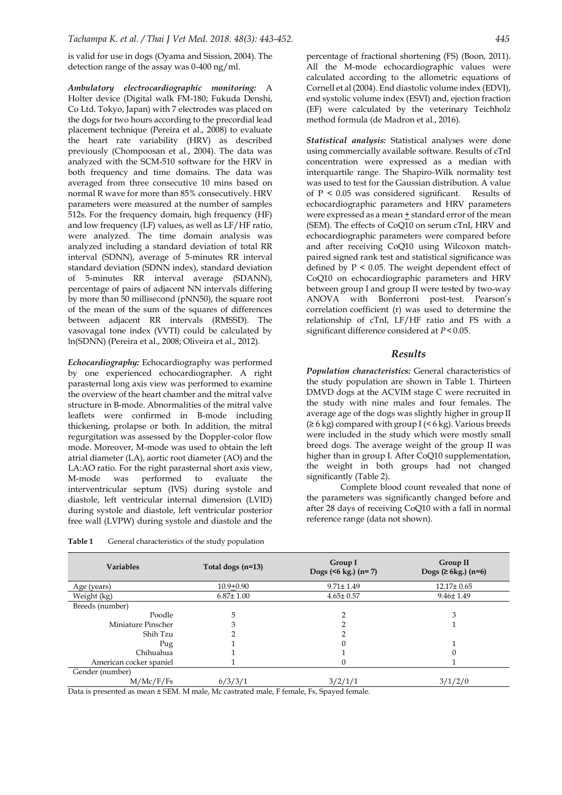is valid for use in dogs (Oyama and Sission, 2004). The detection range of the assay was 0-400 ng/ml.

*Ambulatory electrocardiographic monitoring:* A Holter device (Digital walk FM-180; Fukuda Denshi, Co Ltd. Tokyo, Japan) with 7 electrodes was placed on the dogs for two hours according to the precordial lead placement technique (Pereira et al., 2008) to evaluate the heart rate variability (HRV) as described previously (Chompoosan et al., 2004). The data was analyzed with the SCM-510 software for the HRV in both frequency and time domains. The data was averaged from three consecutive 10 mins based on normal R wave for more than 85% consecutively. HRV parameters were measured at the number of samples 512s. For the frequency domain, high frequency (HF) and low frequency (LF) values, as well as LF/HF ratio, were analyzed. The time domain analysis was analyzed including a standard deviation of total RR interval (SDNN), average of 5-minutes RR interval standard deviation (SDNN index), standard deviation of 5-minutes RR interval average (SDANN), percentage of pairs of adjacent NN intervals differing by more than 50 millisecond (pNN50), the square root of the mean of the sum of the squares of differences between adjacent RR intervals (RMSSD). The vasovagal tone index (VVTI) could be calculated by ln(SDNN) (Pereira et al., 2008; Oliveira et al., 2012).

*Echocardiography:* Echocardiography was performed by one experienced echocardiographer. A right parasternal long axis view was performed to examine the overview of the heart chamber and the mitral valve structure in B-mode. Abnormalities of the mitral valve leaflets were confirmed in B-mode including thickening, prolapse or both. In addition, the mitral regurgitation was assessed by the Doppler-color flow mode. Moreover, M-mode was used to obtain the left atrial diameter (LA), aortic root diameter (AO) and the LA:AO ratio. For the right parasternal short axis view, M-mode was performed to evaluate the interventricular septum (IVS) during systole and diastole, left ventricular internal dimension (LVID) during systole and diastole, left ventricular posterior free wall (LVPW) during systole and diastole and the

percentage of fractional shortening (FS) (Boon, 2011). All the M-mode echocardiographic values were calculated according to the allometric equations of Cornell et al (2004). End diastolic volume index (EDVI), end systolic volume index (ESVI) and, ejection fraction (EF) were calculated by the veterinary Teichholz method formula (de Madron et al., 2016).

*Statistical analysis:* Statistical analyses were done using commercially available software. Results of cTnI concentration were expressed as a median with interquartile range. The Shapiro-Wilk normality test was used to test for the Gaussian distribution. A value of P < 0.05 was considered significant. Results of echocardiographic parameters and HRV parameters were expressed as a mean + standard error of the mean (SEM). The effects of CoQ10 on serum cTnI, HRV and echocardiographic parameters were compared before and after receiving CoQ10 using Wilcoxon matchpaired signed rank test and statistical significance was defined by  $P < 0.05$ . The weight dependent effect of CoQ10 on echocardiographic parameters and HRV between group I and group II were tested by two-way ANOVA with Bonferroni post-test. Pearson's correlation coefficient (r) was used to determine the relationship of cTnI, LF/HF ratio and FS with a significant difference considered at *P*<0.05.

#### *Results*

*Population characteristics:* General characteristics of the study population are shown in Table 1. Thirteen DMVD dogs at the ACVIM stage C were recruited in the study with nine males and four females. The average age of the dogs was slightly higher in group II  $(≥ 6 kg)$  compared with group I (< 6 kg). Various breeds were included in the study which were mostly small breed dogs. The average weight of the group II was higher than in group I. After CoQ10 supplementation, the weight in both groups had not changed significantly (Table 2).

Complete blood count revealed that none of the parameters was significantly changed before and after 28 days of receiving CoQ10 with a fall in normal reference range (data not shown).

| <b>Variables</b>        | Total dogs (n=13) | Group I<br>Dogs $(5 kg.)$ $(n=7)$ | Group II<br>Dogs (≥ 6kg.) $(n=6)$ |
|-------------------------|-------------------|-----------------------------------|-----------------------------------|
| Age (years)             | $10.9 + 0.90$     | $9.71 \pm 1.49$                   | $12.17 \pm 0.65$                  |
| Weight (kg)             | $6.87 \pm 1.00$   | $4.65 \pm 0.57$                   | $9.46 \pm 1.49$                   |
| Breeds (number)         |                   |                                   |                                   |
| Poodle                  | 5                 | っ                                 | 3                                 |
| Miniature Pinscher      | 3                 |                                   |                                   |
| Shih Tzu                |                   |                                   |                                   |
| Pug                     |                   |                                   |                                   |
| Chihuahua               |                   |                                   |                                   |
| American cocker spaniel |                   |                                   |                                   |
| Gender (number)         |                   |                                   |                                   |
| M/Mc/F/Fs               | 6/3/3/1           | 3/2/1/1                           | 3/1/2/0                           |

**Table 1** General characteristics of the study population

Data is presented as mean ± SEM. M male, Mc castrated male, F female, Fs, Spayed female.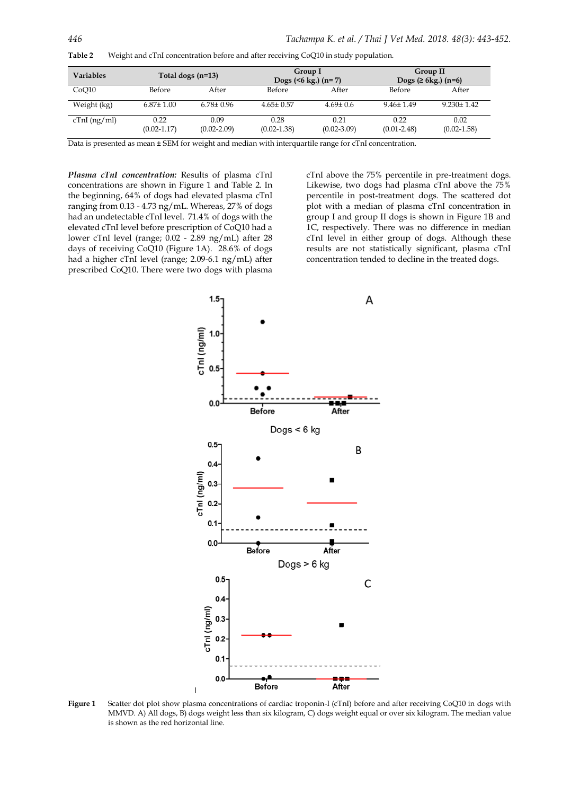| <b>Variables</b> |                         | Total dogs (n=13)       | Group I<br>Dogs $(56 \text{ kg.})$ $(n=7)$ |                         |                         | Group II<br>Dogs $(≥ 6kg.)$ (n=6) |
|------------------|-------------------------|-------------------------|--------------------------------------------|-------------------------|-------------------------|-----------------------------------|
| CoO10            | Before                  | After                   | Before                                     | After                   | Before                  | After                             |
| Weight (kg)      | $6.87 \pm 1.00$         | $6.78 \pm 0.96$         | $4.65 \pm 0.57$                            | $4.69 \pm 0.6$          | $9.46 \pm 1.49$         | $9.230 \pm 1.42$                  |
| $cTnI$ (ng/ml)   | 0.22<br>$(0.02 - 1.17)$ | 0.09<br>$(0.02 - 2.09)$ | 0.28<br>$(0.02 - 1.38)$                    | 0.21<br>$(0.02 - 3.09)$ | 0.22<br>$(0.01 - 2.48)$ | 0.02<br>$(0.02 - 1.58)$           |

**Table 2** Weight and cTnI concentration before and after receiving CoQ10 in study population.

Data is presented as mean ± SEM for weight and median with interquartile range for cTnI concentration.

*Plasma cTnI concentration:* Results of plasma cTnI concentrations are shown in Figure 1 and Table 2. In the beginning, 64% of dogs had elevated plasma cTnI ranging from 0.13 - 4.73 ng/mL. Whereas, 27% of dogs had an undetectable cTnI level. 71.4% of dogs with the elevated cTnI level before prescription of CoQ10 had a lower cTnI level (range; 0.02 - 2.89 ng/mL) after 28 days of receiving CoQ10 (Figure 1A). 28.6% of dogs had a higher cTnI level (range; 2.09-6.1 ng/mL) after prescribed CoQ10. There were two dogs with plasma

cTnI above the 75% percentile in pre-treatment dogs. Likewise, two dogs had plasma cTnI above the 75% percentile in post-treatment dogs. The scattered dot plot with a median of plasma cTnI concentration in group I and group II dogs is shown in Figure 1B and 1C, respectively. There was no difference in median cTnI level in either group of dogs. Although these results are not statistically significant, plasma cTnI concentration tended to decline in the treated dogs.



**Figure 1** Scatter dot plot show plasma concentrations of cardiac troponin-I (cTnI) before and after receiving CoQ10 in dogs with MMVD. A) All dogs, B) dogs weight less than six kilogram, C) dogs weight equal or over six kilogram. The median value is shown as the red horizontal line.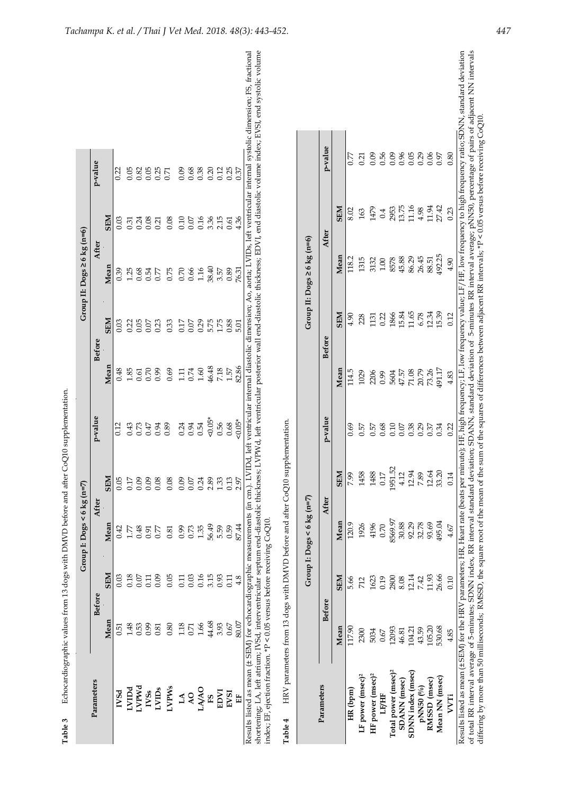|                                                                        |       |               | Group 1: $\text{Dogs} < 6 \text{ kg (n=7)}$ |            |          |       |               | Group II: $\text{Dogs} \ge 6 \text{ kg (n=6)}$ |            |         |                                                                                                                                                                                                                                                                                                                                                                                                                                     |
|------------------------------------------------------------------------|-------|---------------|---------------------------------------------|------------|----------|-------|---------------|------------------------------------------------|------------|---------|-------------------------------------------------------------------------------------------------------------------------------------------------------------------------------------------------------------------------------------------------------------------------------------------------------------------------------------------------------------------------------------------------------------------------------------|
| Parameters                                                             |       | <b>Before</b> |                                             | After      | p-value  |       | <b>Before</b> | After                                          |            | p-value |                                                                                                                                                                                                                                                                                                                                                                                                                                     |
|                                                                        | Mean  | <b>NES</b>    | Mean                                        | <b>NES</b> |          | Mean  | <b>SEM</b>    | Mean                                           | <b>SEM</b> |         |                                                                                                                                                                                                                                                                                                                                                                                                                                     |
| IVSd                                                                   | 51    | 0.03          | 0.42                                        | 0.05       | 0.12     | 0.48  | 0.03          | 0.39                                           | 0.03       | 0.22    |                                                                                                                                                                                                                                                                                                                                                                                                                                     |
|                                                                        | 1.48  | 0.18          | LZZ                                         | 717        | 0.43     | 1.85  | 0.22          | 1.25                                           | 0.31       | 0.05    |                                                                                                                                                                                                                                                                                                                                                                                                                                     |
| LVIDd<br>LVPWd                                                         | 0.53  | 0.07          | 0.48                                        | 0.09       | 0.73     | 0.61  | 0.05          | 0.68                                           | 0.24       | 0.82    |                                                                                                                                                                                                                                                                                                                                                                                                                                     |
| NSS                                                                    | 660   | Ξ             | 0.91                                        | 0.09       | 47       | 0.70  | 0.07          | 0.54                                           | 0.08       | 0.05    |                                                                                                                                                                                                                                                                                                                                                                                                                                     |
| LVIDs                                                                  | 0.81  | 0.09          | 0.77                                        | 0.08       | 0.94     | 66.0  | 0.23          | 0.77                                           | 0.21       | 0.25    |                                                                                                                                                                                                                                                                                                                                                                                                                                     |
| LVPWs                                                                  | 0.80  | 0.05          | 0.81                                        | 0.08       | 0.89     | 0.69  | 0.33          | 0.75                                           | 0.08       | 0.71    |                                                                                                                                                                                                                                                                                                                                                                                                                                     |
| $L\Lambda$                                                             | 1.18  | Ξ             | 0.99                                        | 0.09       | 0.24     | $\Xi$ | 0.I7          | 0.70                                           | 0.10       | 0.09    |                                                                                                                                                                                                                                                                                                                                                                                                                                     |
| $\overline{A}$ O                                                       | 0.71  | 0.03          | 0.73                                        | 0.07       | 0.94     | 0.74  | 0.07          | 0.66                                           | 0.07       | 0.68    |                                                                                                                                                                                                                                                                                                                                                                                                                                     |
| LA/AO                                                                  | 1.66  | 0.16          | 1.35                                        | 0.24       | 0.54     | 1.60  | 0.29          | 1.16                                           | 0.16       | 0.38    |                                                                                                                                                                                                                                                                                                                                                                                                                                     |
| ES                                                                     | 44.68 | 3.15          | 56.49                                       | 2.89       | $50.05*$ | 46.48 | 5.75          | 38.40                                          | 3.36       | 0.20    |                                                                                                                                                                                                                                                                                                                                                                                                                                     |
| EDVI                                                                   | 3.93  | 0.93          | 5.59                                        | 1.33       | 0.56     | 7.18  | 1.75          | 3.57                                           | 2.15       | 0.12    |                                                                                                                                                                                                                                                                                                                                                                                                                                     |
| EVSI                                                                   | 0.67  | E.<br>0       | 0.59                                        | 0.13       | 0.68     | 1.57  | 0.88          | 0.89                                           | 0.61       | 0.25    |                                                                                                                                                                                                                                                                                                                                                                                                                                     |
| Ë                                                                      | 80.07 | 4.8           | 87.44                                       | 7.97       | $40.05*$ | 82.86 | 5.01          | 76.31                                          | 4.36       | 0.37    |                                                                                                                                                                                                                                                                                                                                                                                                                                     |
|                                                                        |       |               |                                             |            |          |       |               |                                                |            |         | shortening; LA, left atrium; IV5d, interventricular septum end-diastolic thickness; LVPWd, left ventricular posterior wall end-diastolic thickness; EDVI, end diastolic volume index; EVSI, end systolic volume<br>Results listed as mean (± SEM) for echocardiographic measurements (in cm.). LVIDd, left ventricular internal diastolic dimension; Ao, aorta; LVIDs, left ventricular internal systolic dimension; FS, fractional |
| index; EF, ejection fraction. *P < 0.05 versus before receiving CoQ10. |       |               |                                             |            |          |       |               |                                                |            |         |                                                                                                                                                                                                                                                                                                                                                                                                                                     |
|                                                                        |       |               |                                             |            |          |       |               |                                                |            |         |                                                                                                                                                                                                                                                                                                                                                                                                                                     |

**Table 3** Echocardiographic values from 13 dogs with DMVD before and after CoQ10 supplementation.

Table 3

Echocardiographic values from 13 dogs with DMVD before and after CoQ10 supplementation.

HRV parameters from 13 dogs with DMVD before and after CoQ10 supplementation. **Table 4** HRV parameters from 13 dogs with DMVD before and after CoQ10 supplementation. Table 4

|                                 |        |            | Group I: $\text{Dogs} < 6 \text{ kg (n=7)}$ |            |             |        |                        | Group II: $\text{Dogs} \ge 6 \text{ kg (n=6)}$ |                                 |           |
|---------------------------------|--------|------------|---------------------------------------------|------------|-------------|--------|------------------------|------------------------------------------------|---------------------------------|-----------|
| Parameters                      | Before |            | After                                       |            | p-value     |        | Before                 |                                                | After                           | p-value   |
|                                 | Mean   | <b>NES</b> | Mean                                        | <b>SEM</b> |             | Mean   | <b>SEM</b>             | Mean                                           | <b>NBS</b>                      |           |
| HR (bpm)                        | 17.90  | 5.66       | 120.9                                       | P.99       | 0.69        | 114.5  | 90                     | 118.2                                          | 8.02                            | 0.77      |
| LF power (msec) <sup>2</sup>    | 2300   | 712        | 1926                                        | 1458       | 0.57        | 1029   | 228                    | 1315                                           | 163                             | 21        |
| HF power (msec) <sup>2</sup>    | 5034   | 1623       | 4196                                        | 1488       | 0.57        |        | 131                    |                                                | 1479                            | 90.C      |
| LF/HF                           | 0.67   | 0.19       | 0.70                                        | 0.17       | 0.68        |        | 0.22                   | 3132<br>1.00                                   | $0.4$<br>2953<br>11.16<br>11.16 | 0.56      |
| Total power (msec) <sup>2</sup> | 12093  | 2800       | 8569.97                                     | 1951.52    | 0.10        |        |                        |                                                |                                 | $_{0.09}$ |
| <b>SDANN</b> (msec)             | 46.81  | 8.08       | 30.88                                       | 4.12       | 0.07        |        | 1866<br>15.84<br>11.65 | 8578<br>45.88                                  |                                 | 0.96      |
| SDNN index (msec)               | 104.21 | 12.14      | 92.29                                       | 12.94      | 0.38        |        |                        | 86.29                                          |                                 | 0.05      |
| pNN50 (%)                       | 43.59  | 7.42       | 32.78                                       | 7.89       | 0.29        |        | 6.78                   | 26.45                                          | 4.98                            | 0.29      |
| RMSSD (msec)                    | 105.20 | 11.93      | 93.69                                       | 12.64      | 0.37        |        | 12.34                  | 88.51                                          | 11.94                           | 0.06      |
| Mean NN (msec)                  | 530.68 | 26.66      | 495.04                                      | 33.20      | 0.34        | 191.17 | 15.39                  | 492.25                                         | 27.42                           | 0.97      |
| VVTi                            | 4.85   | 0.10       | 4.67                                        | 0.14       | $\approx 0$ | 4.83   | 0.12                   | 4.90                                           | 0.23                            | 0.80      |

deviation<br>intervals of total RR interval average of 5-minutes; SDNN index, RR interval standard deviation; SDANN, standard deviation of 5-minutes RR interval average; pNN50, percentage of pairs of adjacent NN intervals of total RR interval average of 5-minutes; SDNN index, RR interval standard deviation; SDANN, standard deviation of 5-minutes RR interval average; pNN50, percentage of pairs of adja<br>differing by more than 50 milliseconds; differing by more than 50 milliseconds; RMSSD, the square root of the mean of the sum of the squares of differences between adjacent RR intervals; \*P < 0.05 versus before receiving CoQ10.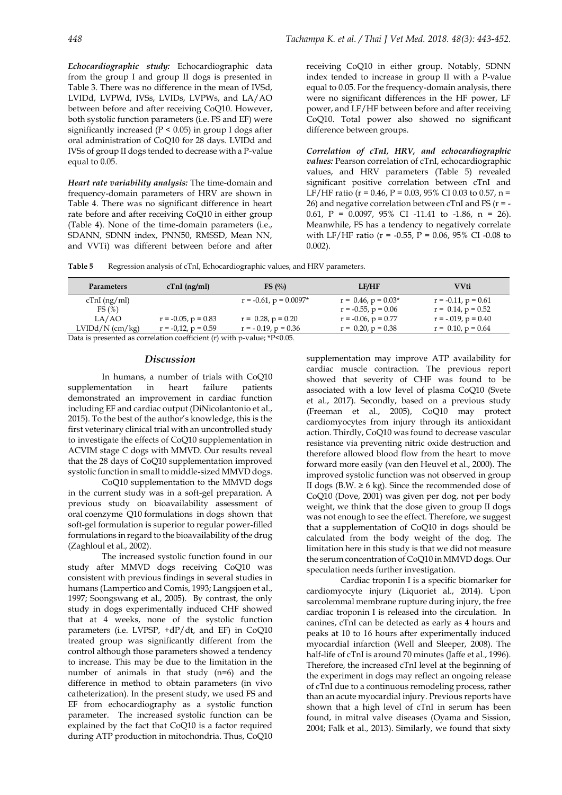*Echocardiographic study:* Echocardiographic data from the group I and group II dogs is presented in Table 3. There was no difference in the mean of IVSd, LVIDd, LVPWd, IVSs, LVIDs, LVPWs, and LA/AO between before and after receiving CoQ10. However, both systolic function parameters (i.e. FS and EF) were significantly increased ( $P < 0.05$ ) in group I dogs after oral administration of CoQ10 for 28 days. LVIDd and IVSs of group II dogs tended to decrease with a P-value equal to 0.05.

*Heart rate variability analysis:* The time-domain and frequency-domain parameters of HRV are shown in Table 4. There was no significant difference in heart rate before and after receiving CoQ10 in either group (Table 4). None of the time-domain parameters (i.e., SDANN, SDNN index, PNN50, RMSSD, Mean NN, and VVTi) was different between before and after

receiving CoQ10 in either group. Notably, SDNN index tended to increase in group II with a P-value equal to 0.05. For the frequency-domain analysis, there were no significant differences in the HF power, LF power, and LF/HF between before and after receiving CoQ10. Total power also showed no significant difference between groups.

*Correlation of cTnI, HRV, and echocardiographic values:* Pearson correlation of cTnI, echocardiographic values, and HRV parameters (Table 5) revealed significant positive correlation between cTnI and LF/HF ratio ( $r = 0.46$ ,  $P = 0.03$ , 95% CI 0.03 to 0.57, n = 26) and negative correlation between cTnI and FS ( $r = -$ 0.61,  $P = 0.0097$ ,  $95\%$  CI -11.41 to -1.86,  $n = 26$ ). Meanwhile, FS has a tendency to negatively correlate with LF/HF ratio (r = -0.55, P = 0.06, 95% CI -0.08 to 0.002).

**Table 5** Regression analysis of cTnI, Echocardiographic values, and HRV parameters.

| <b>Parameters</b>    | $cTnI$ (ng/ml)                            | FS $\left(\frac{0}{0}\right)$ | <b>LF/HF</b>             | <b>VVti</b>              |
|----------------------|-------------------------------------------|-------------------------------|--------------------------|--------------------------|
| cTnI(ng/ml)          |                                           | $r = -0.61$ , $p = 0.0097*$   | $r = 0.46$ , $p = 0.03*$ | $r = -0.11$ , $p = 0.61$ |
| FS(%)                |                                           |                               | $r = -0.55$ , $p = 0.06$ | $r = 0.14$ , $p = 0.52$  |
| LA/AO                | $r = -0.05$ , $p = 0.83$                  | $r = 0.28$ , $p = 0.20$       | $r = -0.06$ , $p = 0.77$ | $r = -.019$ , $p = 0.40$ |
| $LVIDd/N$ (cm/kg)    | $r = -0.12$ , $p = 0.59$                  | $r = -0.19$ , $p = 0.36$      | $r = 0.20$ , $p = 0.38$  | $r = 0.10$ , $p = 0.64$  |
| $\sim$ $\sim$ $\sim$ | $\sim$ $\sim$ $\sim$ $\sim$ $\sim$ $\sim$ | $AD \cap A =$                 |                          |                          |

Data is presented as correlation coefficient (r) with p-value; \*P<0.05.

#### *Discussion*

In humans, a number of trials with CoQ10 supplementation in heart failure patients demonstrated an improvement in cardiac function including EF and cardiac output (DiNicolantonio et al., 2015). To the best of the author's knowledge, this is the first veterinary clinical trial with an uncontrolled study to investigate the effects of CoQ10 supplementation in ACVIM stage C dogs with MMVD. Our results reveal that the 28 days of CoQ10 supplementation improved systolic function in small to middle-sized MMVD dogs.

CoQ10 supplementation to the MMVD dogs in the current study was in a soft-gel preparation. A previous study on bioavailability assessment of oral coenzyme Q10 formulations in dogs shown that soft-gel formulation is superior to regular power-filled formulations in regard to the bioavailability of the drug (Zaghloul et al., 2002).

The increased systolic function found in our study after MMVD dogs receiving CoQ10 was consistent with previous findings in several studies in humans (Lampertico and Comis, 1993; Langsjoen et al., 1997; Soongswang et al., 2005). By contrast, the only study in dogs experimentally induced CHF showed that at 4 weeks, none of the systolic function parameters (i.e. LVPSP, +dP/dt, and EF) in CoQ10 treated group was significantly different from the control although those parameters showed a tendency to increase. This may be due to the limitation in the number of animals in that study (n=6) and the difference in method to obtain parameters (in vivo catheterization). In the present study, we used FS and EF from echocardiography as a systolic function parameter. The increased systolic function can be explained by the fact that CoQ10 is a factor required during ATP production in mitochondria. Thus, CoQ10

supplementation may improve ATP availability for cardiac muscle contraction. The previous report showed that severity of CHF was found to be associated with a low level of plasma CoQ10 (Svete et al., 2017). Secondly, based on a previous study (Freeman et al., 2005), CoQ10 may protect cardiomyocytes from injury through its antioxidant action. Thirdly, CoQ10 was found to decrease vascular resistance via preventing nitric oxide destruction and therefore allowed blood flow from the heart to move forward more easily (van den Heuvel et al., 2000). The improved systolic function was not observed in group II dogs (B.W.  $\geq 6$  kg). Since the recommended dose of CoQ10 (Dove, 2001) was given per dog, not per body weight, we think that the dose given to group II dogs was not enough to see the effect. Therefore, we suggest that a supplementation of CoQ10 in dogs should be calculated from the body weight of the dog. The limitation here in this study is that we did not measure the serum concentration of CoQ10 in MMVD dogs. Our speculation needs further investigation.

Cardiac troponin I is a specific biomarker for cardiomyocyte injury (Liquoriet al., 2014). Upon sarcolemmal membrane rupture during injury, the free cardiac troponin I is released into the circulation. In canines, cTnI can be detected as early as 4 hours and peaks at 10 to 16 hours after experimentally induced myocardial infarction (Well and Sleeper, 2008). The half-life of cTnI is around 70 minutes (Jaffe et al., 1996). Therefore, the increased cTnI level at the beginning of the experiment in dogs may reflect an ongoing release of cTnI due to a continuous remodeling process, rather than an acute myocardial injury. Previous reports have shown that a high level of cTnI in serum has been found, in mitral valve diseases (Oyama and Sission, 2004; Falk et al., 2013). Similarly, we found that sixty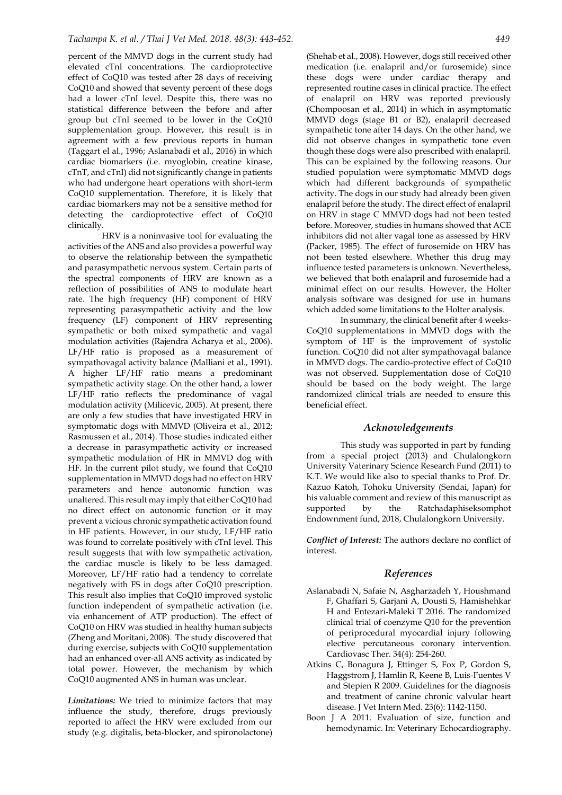percent of the MMVD dogs in the current study had elevated cTnI concentrations. The cardioprotective effect of CoQ10 was tested after 28 days of receiving CoQ10 and showed that seventy percent of these dogs had a lower cTnI level. Despite this, there was no statistical difference between the before and after group but cTnI seemed to be lower in the CoQ10 supplementation group. However, this result is in agreement with a few previous reports in human (Taggart el al., 1996; Aslanabadi et al., 2016) in which cardiac biomarkers (i.e. myoglobin, creatine kinase, cTnT, and cTnI) did not significantly change in patients who had undergone heart operations with short-term CoQ10 supplementation. Therefore, it is likely that cardiac biomarkers may not be a sensitive method for detecting the cardioprotective effect of CoQ10 clinically.

HRV is a noninvasive tool for evaluating the activities of the ANS and also provides a powerful way to observe the relationship between the sympathetic and parasympathetic nervous system. Certain parts of the spectral components of HRV are known as a reflection of possibilities of ANS to modulate heart rate. The high frequency (HF) component of HRV representing parasympathetic activity and the low frequency (LF) component of HRV representing sympathetic or both mixed sympathetic and vagal modulation activities (Rajendra Acharya et al., 2006). LF/HF ratio is proposed as a measurement of sympathovagal activity balance (Malliani et al., 1991). A higher LF/HF ratio means a predominant sympathetic activity stage. On the other hand, a lower LF/HF ratio reflects the predominance of vagal modulation activity (Milicevic, 2005). At present, there are only a few studies that have investigated HRV in symptomatic dogs with MMVD (Oliveira et al., 2012; Rasmussen et al., 2014). Those studies indicated either a decrease in parasympathetic activity or increased sympathetic modulation of HR in MMVD dog with HF. In the current pilot study, we found that CoQ10 supplementation in MMVD dogs had no effect on HRV parameters and hence autonomic function was unaltered. This result may imply that either CoQ10 had no direct effect on autonomic function or it may prevent a vicious chronic sympathetic activation found in HF patients. However, in our study, LF/HF ratio was found to correlate positively with cTnI level. This result suggests that with low sympathetic activation, the cardiac muscle is likely to be less damaged. Moreover, LF/HF ratio had a tendency to correlate negatively with FS in dogs after CoQ10 prescription. This result also implies that CoQ10 improved systolic function independent of sympathetic activation (i.e. via enhancement of ATP production). The effect of CoQ10 on HRV was studied in healthy human subjects (Zheng and Moritani, 2008). The study discovered that during exercise, subjects with CoQ10 supplementation had an enhanced over-all ANS activity as indicated by total power. However, the mechanism by which CoQ10 augmented ANS in human was unclear.

*Limitations:* We tried to minimize factors that may influence the study, therefore, drugs previously reported to affect the HRV were excluded from our study (e.g. digitalis, beta-blocker, and spironolactone)

(Shehab et al., 2008). However, dogs still received other medication (i.e. enalapril and/or furosemide) since these dogs were under cardiac therapy and represented routine cases in clinical practice. The effect of enalapril on HRV was reported previously (Chompoosan et al., 2014) in which in asymptomatic MMVD dogs (stage B1 or B2), enalapril decreased sympathetic tone after 14 days. On the other hand, we did not observe changes in sympathetic tone even though these dogs were also prescribed with enalapril. This can be explained by the following reasons. Our studied population were symptomatic MMVD dogs which had different backgrounds of sympathetic activity. The dogs in our study had already been given enalapril before the study. The direct effect of enalapril on HRV in stage C MMVD dogs had not been tested before. Moreover, studies in humans showed that ACE inhibitors did not alter vagal tone as assessed by HRV (Packer, 1985). The effect of furosemide on HRV has not been tested elsewhere. Whether this drug may influence tested parameters is unknown. Nevertheless, we believed that both enalapril and furosemide had a minimal effect on our results. However, the Holter analysis software was designed for use in humans which added some limitations to the Holter analysis.

In summary, the clinical benefit after 4 weeks-CoQ10 supplementations in MMVD dogs with the symptom of HF is the improvement of systolic function. CoQ10 did not alter sympathovagal balance in MMVD dogs. The cardio-protective effect of CoQ10 was not observed. Supplementation dose of CoQ10 should be based on the body weight. The large randomized clinical trials are needed to ensure this beneficial effect.

#### *Acknowledgements*

This study was supported in part by funding from a special project (2013) and Chulalongkorn University Vaterinary Science Research Fund (2011) to K.T. We would like also to special thanks to Prof. Dr. Kazuo Katoh, Tohoku University (Sendai, Japan) for his valuable comment and review of this manuscript as supported by the Ratchadaphiseksomphot Endownment fund, 2018, Chulalongkorn University.

*Conflict of Interest:* The authors declare no conflict of interest.

#### *References*

- Aslanabadi N, Safaie N, Asgharzadeh Y, Houshmand F, Ghaffari S, Garjani A, Dousti S, Hamishehkar H and Entezari-Maleki T 2016. The randomized clinical trial of coenzyme Q10 for the prevention of periprocedural myocardial injury following elective percutaneous coronary intervention. Cardiovasc Ther. 34(4): 254-260.
- Atkins C, Bonagura J, Ettinger S, Fox P, Gordon S, Haggstrom J, Hamlin R, Keene B, Luis‐Fuentes V and Stepien R 2009. Guidelines for the diagnosis and treatment of canine chronic valvular heart disease. J Vet Intern Med. 23(6): 1142-1150.
- Boon J A 2011. Evaluation of size, function and hemodynamic. In: Veterinary Echocardiography.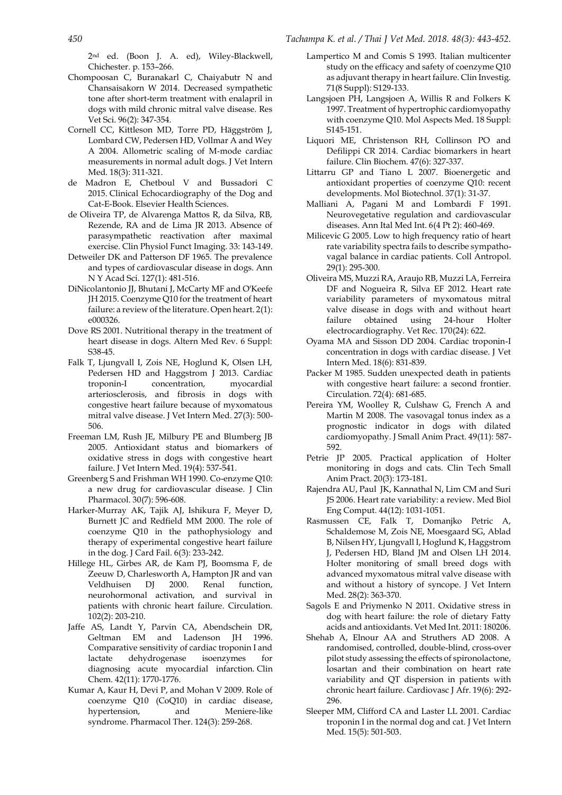2nd ed. (Boon J. A. ed), Wiley-Blackwell, Chichester. p. 153–266.

- Chompoosan C, Buranakarl C, Chaiyabutr N and Chansaisakorn W 2014. Decreased sympathetic tone after short-term treatment with enalapril in dogs with mild chronic mitral valve disease. Res Vet Sci. 96(2): 347-354.
- Cornell CC, Kittleson MD, Torre PD, Häggström J, Lombard CW, Pedersen HD, Vollmar A and Wey A 2004. Allometric scaling of M‐mode cardiac measurements in normal adult dogs. J Vet Intern Med. 18(3): 311-321.
- de Madron E, Chetboul V and Bussadori C 2015. Clinical Echocardiography of the Dog and Cat-E-Book. Elsevier Health Sciences.
- de Oliveira TP, de Alvarenga Mattos R, da Silva, RB, Rezende, RA and de Lima JR 2013. Absence of parasympathetic reactivation after maximal exercise. Clin Physiol Funct Imaging. 33: 143-149.
- Detweiler DK and Patterson DF 1965. The prevalence and types of cardiovascular disease in dogs. Ann N Y Acad Sci. 127(1): 481-516.
- DiNicolantonio JJ, Bhutani J, McCarty MF and O'Keefe JH 2015. Coenzyme Q10 for the treatment of heart failure: a review of the literature. Open heart. 2(1): e000326.
- Dove RS 2001. Nutritional therapy in the treatment of heart disease in dogs. Altern Med Rev. 6 Suppl: S38-45.
- Falk T, Ljungvall I, Zois NE, Hoglund K, Olsen LH, Pedersen HD and Haggstrom J 2013. Cardiac troponin-I concentration, myocardial arteriosclerosis, and fibrosis in dogs with congestive heart failure because of myxomatous mitral valve disease. J Vet Intern Med. 27(3): 500- 506.
- Freeman LM, Rush JE, Milbury PE and Blumberg JB 2005. Antioxidant status and biomarkers of oxidative stress in dogs with congestive heart failure. J Vet Intern Med. 19(4): 537-541.
- Greenberg S and Frishman WH 1990. Co-enzyme Q10: a new drug for cardiovascular disease. J Clin Pharmacol. 30(7): 596-608.
- Harker-Murray AK, Tajik AJ, Ishikura F, Meyer D, Burnett JC and Redfield MM 2000. The role of coenzyme Q10 in the pathophysiology and therapy of experimental congestive heart failure in the dog. J Card Fail. 6(3): 233-242.
- Hillege HL, Girbes AR, de Kam PJ, Boomsma F, de Zeeuw D, Charlesworth A, Hampton JR and van Veldhuisen DJ 2000. Renal function, neurohormonal activation, and survival in patients with chronic heart failure. Circulation. 102(2): 203-210.
- Jaffe AS, Landt Y, Parvin CA, Abendschein DR, Geltman EM and Ladenson JH 1996. Comparative sensitivity of cardiac troponin I and lactate dehydrogenase isoenzymes for diagnosing acute myocardial infarction. Clin Chem. 42(11): 1770-1776.
- Kumar A, Kaur H, Devi P, and Mohan V 2009. Role of coenzyme Q10 (CoQ10) in cardiac disease, hypertension, and Meniere-like syndrome. Pharmacol Ther. 124(3): 259-268.
- Lampertico M and Comis S 1993. Italian multicenter study on the efficacy and safety of coenzyme Q10 as adjuvant therapy in heart failure. Clin Investig. 71(8 Suppl): S129-133.
- Langsjoen PH, Langsjoen A, Willis R and Folkers K 1997. Treatment of hypertrophic cardiomyopathy with coenzyme Q10. Mol Aspects Med. 18 Suppl: S145-151.
- Liquori ME, Christenson RH, Collinson PO and Defilippi CR 2014. Cardiac biomarkers in heart failure. Clin Biochem. 47(6): 327-337.
- Littarru GP and Tiano L 2007. Bioenergetic and antioxidant properties of coenzyme Q10: recent developments. Mol Biotechnol. 37(1): 31-37.
- Malliani A, Pagani M and Lombardi F 1991. Neurovegetative regulation and cardiovascular diseases. Ann Ital Med Int. 6(4 Pt 2): 460-469.
- Milicevic G 2005. Low to high frequency ratio of heart rate variability spectra fails to describe sympathovagal balance in cardiac patients*.* Coll Antropol. 29(1): 295-300.
- Oliveira MS, Muzzi RA, Araujo RB, Muzzi LA, Ferreira DF and Nogueira R, Silva EF 2012. Heart rate variability parameters of myxomatous mitral valve disease in dogs with and without heart failure obtained using 24-hour Holter electrocardiography. Vet Rec. 170(24): 622.
- Oyama MA and Sisson DD 2004. Cardiac troponin-I concentration in dogs with cardiac disease. J Vet Intern Med. 18(6): 831-839.
- Packer M 1985. Sudden unexpected death in patients with congestive heart failure: a second frontier. Circulation. 72(4): 681-685.
- Pereira YM, Woolley R, Culshaw G, French A and Martin M 2008. The vasovagal tonus index as a prognostic indicator in dogs with dilated cardiomyopathy. J Small Anim Pract. 49(11): 587- 592.
- Petrie JP 2005. Practical application of Holter monitoring in dogs and cats. Clin Tech Small Anim Pract. 20(3): 173-181.
- Rajendra AU, Paul JK, Kannathal N, Lim CM and Suri JS 2006. Heart rate variability: a review. Med Biol Eng Comput. 44(12): 1031-1051.
- Rasmussen CE, Falk T, Domanjko Petric A, Schaldemose M, Zois NE, Moesgaard SG, Ablad B, Nilsen HY, Ljungvall I, Hoglund K, Haggstrom J, Pedersen HD, Bland JM and Olsen LH 2014. Holter monitoring of small breed dogs with advanced myxomatous mitral valve disease with and without a history of syncope. J Vet Intern Med. 28(2): 363-370.
- Sagols E and Priymenko N 2011. Oxidative stress in dog with heart failure: the role of dietary Fatty acids and antioxidants. Vet Med Int. 2011: 180206.
- Shehab A, Elnour AA and Struthers AD 2008. A randomised, controlled, double-blind, cross-over pilot study assessing the effects of spironolactone, losartan and their combination on heart rate variability and QT dispersion in patients with chronic heart failure. Cardiovasc J Afr. 19(6): 292- 296.
- Sleeper MM, Clifford CA and Laster LL 2001. Cardiac troponin I in the normal dog and cat. J Vet Intern Med*.* 15(5): 501-503.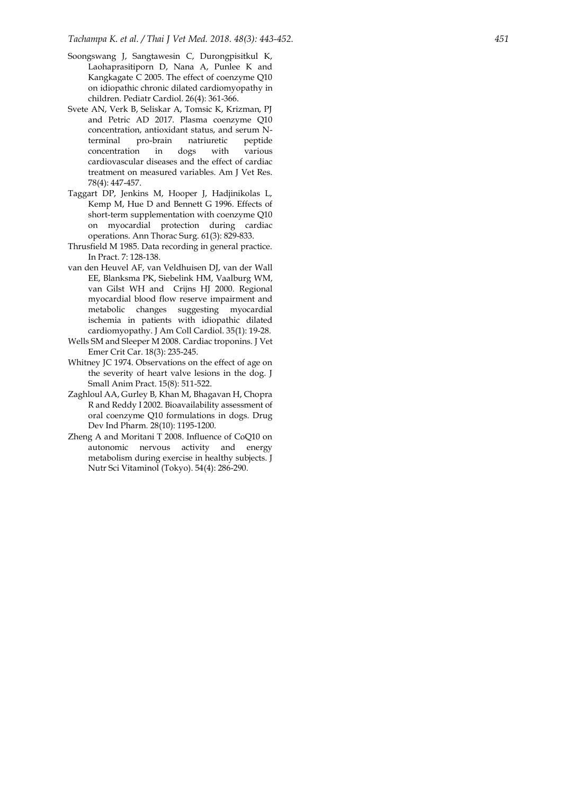- Soongswang J, Sangtawesin C, Durongpisitkul K, Laohaprasitiporn D, Nana A, Punlee K and Kangkagate C 2005. The effect of coenzyme Q10 on idiopathic chronic dilated cardiomyopathy in children. Pediatr Cardiol. 26(4): 361 -366.
- Svete AN, Verk B, Seliskar A, Tomsic K, Krizman, PJ and Petric AD 2017. Plasma coenzyme Q10 concentration, antioxidant status, and serum N terminal pro-brain natriuretic peptide concentration in dogs with various cardiovascular diseases and the effect of cardiac treatment on measured variables. Am J Vet Res. 78(4): 447 -457.
- Taggart DP, Jenkins M, Hooper J, Hadjinikolas L, Kemp M, Hue D and Bennett G 1996. Effects of short -term supplementation with coenzyme Q10 on myocardial protection during cardiac operations. Ann Thorac Surg. 61(3): 829 -833.
- Thrusfield M 1985. Data recording in general practice. In Pract. 7: 128 -138.
- van den Heuvel AF, van Veldhuisen DJ, van der Wall EE, Blanksma PK, Siebelink HM, Vaalburg WM, van Gilst WH and Crijns HJ 2000. Regional myocardial blood flow reserve impairment and metabolic changes suggesting myocardial ischemia in patients with idiopathic dilated cardiomyopathy. J Am Coll Cardiol. 35(1): 19 -28.
- Wells SM and Sleeper M 2008. Cardiac troponins. J Vet Emer Crit Car. 18(3): 235 -245.
- Whitney JC 1974. Observations on the effect of age on the severity of heart valve lesions in the dog. J Small Anim Pract. 15(8): 511 -522.
- Zaghloul AA, Gurley B, Khan M, Bhagavan H, Chopra R and Reddy I 2002. Bioavailability assessment of oral coenzyme Q10 formulations in dogs. Drug Dev Ind Pharm*.* 28(10): 1195 -1200.
- Zheng A and Moritani T 2008. Influence of CoQ10 on autonomic nervous activity and energy metabolism during exercise in healthy subjects. J Nutr Sci Vitaminol (Tokyo). 54(4): 286 -290.